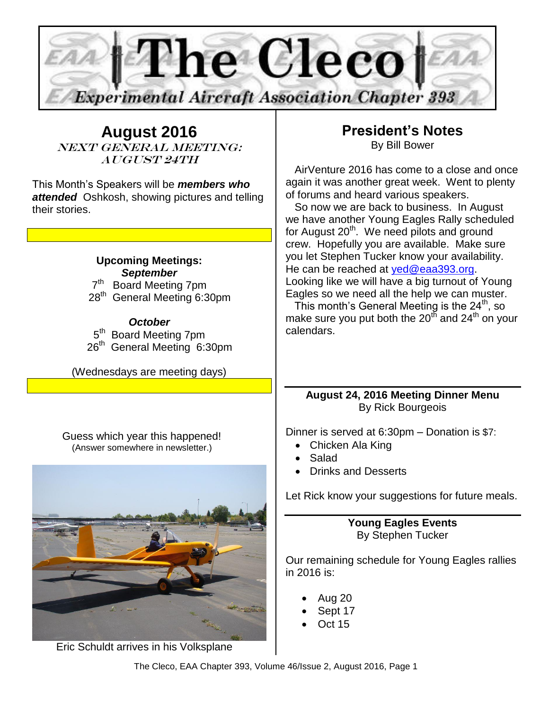

**August 2016** NEXT GENERAL MEETING: **AUGUST 24TH** 

This Month's Speakers will be *members who attended* Oshkosh, showing pictures and telling their stories.

#### **Upcoming Meetings:** *September*

 $7<sup>th</sup>$  Board Meeting 7pm 28<sup>th</sup> General Meeting 6:30pm

#### *October*

5<sup>th</sup> Board Meeting 7pm 26<sup>th</sup> General Meeting 6:30pm

(Wednesdays are meeting days)

 Guess which year this happened! (Answer somewhere in newsletter.)

# **President's Notes** By Bill Bower

 AirVenture 2016 has come to a close and once again it was another great week. Went to plenty of forums and heard various speakers.

 So now we are back to business. In August we have another Young Eagles Rally scheduled for August 20<sup>th</sup>. We need pilots and ground crew. Hopefully you are available. Make sure you let Stephen Tucker know your availability. He can be reached at [yed@eaa393.org.](mailto:yed@eaa393.org) Looking like we will have a big turnout of Young Eagles so we need all the help we can muster.

This month's General Meeting is the  $24<sup>th</sup>$ , so make sure you put both the  $20<sup>th</sup>$  and  $24<sup>th</sup>$  on your calendars.

#### **August 24, 2016 Meeting Dinner Menu** By Rick Bourgeois

Dinner is served at 6:30pm – Donation is \$7:

- Chicken Ala King
- Salad
- Drinks and Desserts

Let Rick know your suggestions for future meals.

**Young Eagles Events** By Stephen Tucker

Our remaining schedule for Young Eagles rallies in 2016 is:

- Aug 20
- Sept 17
- Oct 15

Eric Schuldt arrives in his Volksplane

The Cleco, EAA Chapter 393, Volume 46/Issue 2, August 2016, Page 1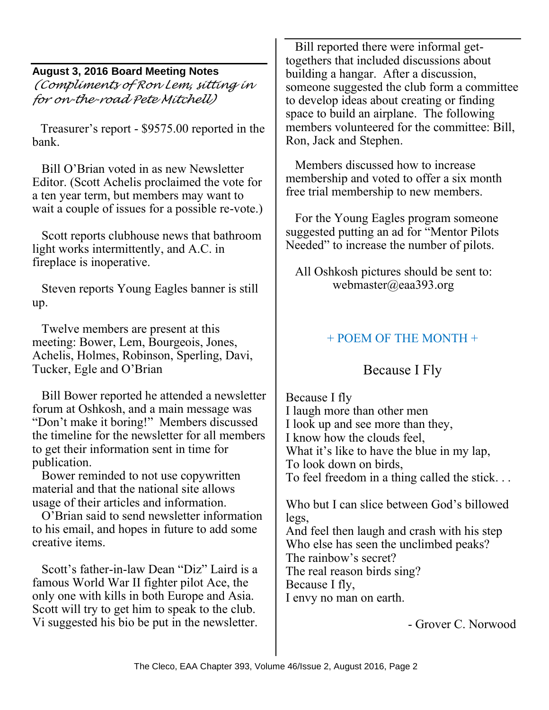#### **August 3, 2016 Board Meeting Notes**

*(Compliments of Ron Lem, sitting in for on-the-road Pete Mitchell)*

Treasurer's report - \$9575.00 reported in the bank.

 Bill O'Brian voted in as new Newsletter Editor. (Scott Achelis proclaimed the vote for a ten year term, but members may want to wait a couple of issues for a possible re-vote.)

 Scott reports clubhouse news that bathroom light works intermittently, and A.C. in fireplace is inoperative.

 Steven reports Young Eagles banner is still up.

 Twelve members are present at this meeting: Bower, Lem, Bourgeois, Jones, Achelis, Holmes, Robinson, Sperling, Davi, Tucker, Egle and O'Brian

 Bill Bower reported he attended a newsletter forum at Oshkosh, and a main message was "Don't make it boring!" Members discussed the timeline for the newsletter for all members to get their information sent in time for publication.

 Bower reminded to not use copywritten material and that the national site allows usage of their articles and information.

 O'Brian said to send newsletter information to his email, and hopes in future to add some creative items.

 Scott's father-in-law Dean "Diz" Laird is a famous World War II fighter pilot Ace, the only one with kills in both Europe and Asia. Scott will try to get him to speak to the club. Vi suggested his bio be put in the newsletter.

 Bill reported there were informal gettogethers that included discussions about building a hangar. After a discussion, someone suggested the club form a committee to develop ideas about creating or finding space to build an airplane. The following members volunteered for the committee: Bill, Ron, Jack and Stephen.

 Members discussed how to increase membership and voted to offer a six month free trial membership to new members.

 For the Young Eagles program someone suggested putting an ad for "Mentor Pilots Needed" to increase the number of pilots.

 All Oshkosh pictures should be sent to: webmaster@eaa393.org

# + POEM OF THE MONTH +

# Because I Fly

Because I fly I laugh more than other men I look up and see more than they, I know how the clouds feel, What it's like to have the blue in my lap, To look down on birds, To feel freedom in a thing called the stick. . .

Who but I can slice between God's billowed legs,

And feel then laugh and crash with his step Who else has seen the unclimbed peaks? The rainbow's secret? The real reason birds sing? Because I fly, I envy no man on earth.

- Grover C. Norwood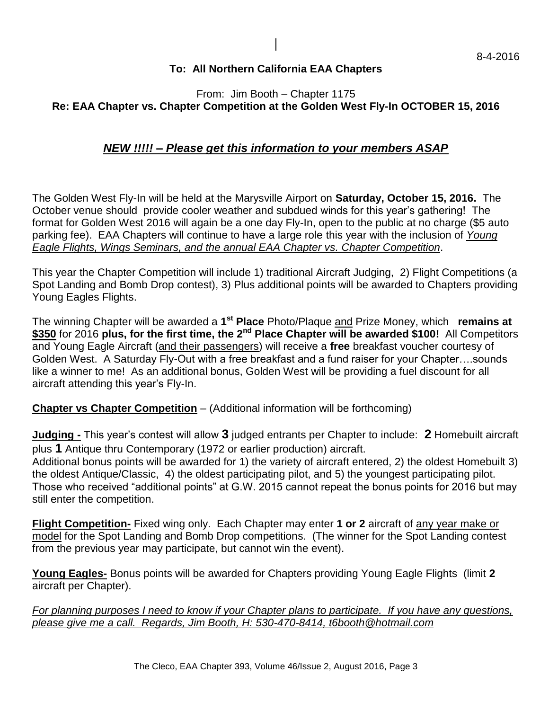#### **To: All Northern California EAA Chapters**

#### From: Jim Booth – Chapter 1175 **Re: EAA Chapter vs. Chapter Competition at the Golden West Fly-In OCTOBER 15, 2016**

#### *NEW !!!!! – Please get this information to your members ASAP*

The Golden West Fly-In will be held at the Marysville Airport on **Saturday, October 15, 2016.** The October venue should provide cooler weather and subdued winds for this year's gathering! The format for Golden West 2016 will again be a one day Fly-In, open to the public at no charge (\$5 auto parking fee). EAA Chapters will continue to have a large role this year with the inclusion of *Young Eagle Flights, Wings Seminars, and the annual EAA Chapter vs. Chapter Competition*.

This year the Chapter Competition will include 1) traditional Aircraft Judging, 2) Flight Competitions (a Spot Landing and Bomb Drop contest), 3) Plus additional points will be awarded to Chapters providing Young Eagles Flights.

The winning Chapter will be awarded a **1 st Place** Photo/Plaque and Prize Money, which **remains at \$350** for 2016 **plus, for the first time, the 2nd Place Chapter will be awarded \$100!** All Competitors and Young Eagle Aircraft (and their passengers) will receive a **free** breakfast voucher courtesy of Golden West. A Saturday Fly-Out with a free breakfast and a fund raiser for your Chapter….sounds like a winner to me! As an additional bonus, Golden West will be providing a fuel discount for all aircraft attending this year's Fly-In.

**Chapter vs Chapter Competition** – (Additional information will be forthcoming)

**Judging -** This year's contest will allow **3** judged entrants per Chapter to include: **2** Homebuilt aircraft plus **1** Antique thru Contemporary (1972 or earlier production) aircraft.

Additional bonus points will be awarded for 1) the variety of aircraft entered, 2) the oldest Homebuilt 3) the oldest Antique/Classic, 4) the oldest participating pilot, and 5) the youngest participating pilot. Those who received "additional points" at G.W. 2015 cannot repeat the bonus points for 2016 but may still enter the competition.

**Flight Competition-** Fixed wing only. Each Chapter may enter **1 or 2** aircraft of any year make or model for the Spot Landing and Bomb Drop competitions. (The winner for the Spot Landing contest from the previous year may participate, but cannot win the event).

**Young Eagles-** Bonus points will be awarded for Chapters providing Young Eagle Flights (limit **2** aircraft per Chapter).

*For planning purposes I need to know if your Chapter plans to participate. If you have any questions, please give me a call. Regards, Jim Booth, H: 530-470-8414, t6booth@hotmail.com*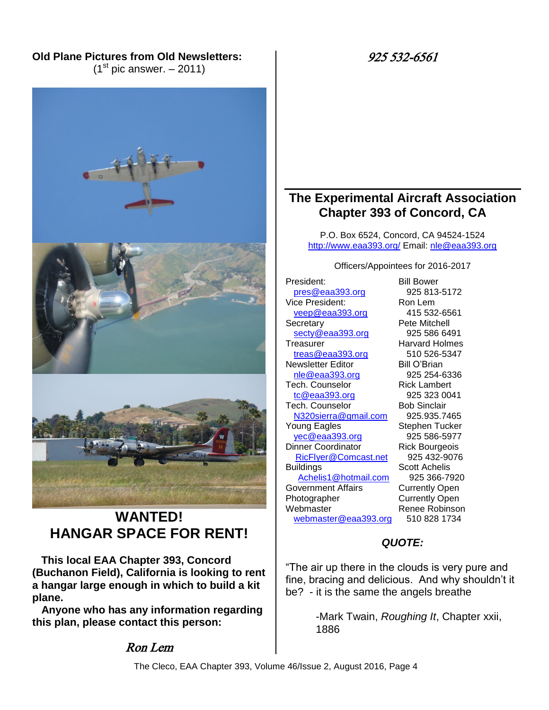### **Old Plane Pictures from Old Newsletters:**

 $(1<sup>st</sup>$  pic answer.  $-$  2011)





P.O. Box 6524, Concord, CA 94524-1524 <http://www.eaa393.org/> Email: [nle@eaa393.org](mailto:nle@eaa393.org)

Officers/Appointees for 2016-2017

President: Bill Bower [pres@eaa393.org](mailto:pres@eaa393.org) 925 813-5172 Vice President: Ron Lem [veep@eaa393.org](mailto:veep@eaa393.org) 415 532-6561 Secretary **Pete Mitchell** [secty@eaa393.org](mailto:secty@eaa393.org) 925 586 6491 Treasurer **Harvard Holmes** [treas@eaa393.org](mailto:treas@eaa393.org) 510 526-5347 Newsletter Editor Bill O'Brian [nle@eaa393.org](mailto:nle@eaa393.org) 925 254-6336 Tech. Counselor **Rick Lambert** [tc@eaa393.org](mailto:tc@eaa393.org) 925 323 0041 Tech. Counselor **Bob Sinclair** [N320sierra@gmail.com](mailto:N320sierra@gmail.com) 925.935.7465 Young Eagles Stephen Tucker [yec@eaa393.org](mailto:yec@eaa393.org) 925 586-5977 Dinner Coordinator Rick Bourgeois [RicFlyer@Comcast.net](mailto:RicFlyer@Comcast.net) 925 432-9076 Buildings Scott Achelis [Achelis1@hotmail.com](mailto:Achelis1@hotmail.com) 925 366-7920 Government Affairs Currently Open Photographer Currently Open Webmaster Renee Robinson [webmaster@eaa393.org](mailto:webmaster@eaa393.org) 510 828 1734

#### *QUOTE:*

"The air up there in the clouds is very pure and fine, bracing and delicious. And why shouldn't it be? - it is the same the angels breathe

> -Mark Twain, *Roughing It*, Chapter xxii, 1886



# **WANTED! HANGAR SPACE FOR RENT!**

 **This local EAA Chapter 393, Concord (Buchanon Field), California is looking to rent a hangar large enough in which to build a kit plane.**

 **Anyone who has any information regarding this plan, please contact this person:**

# Ron Lem